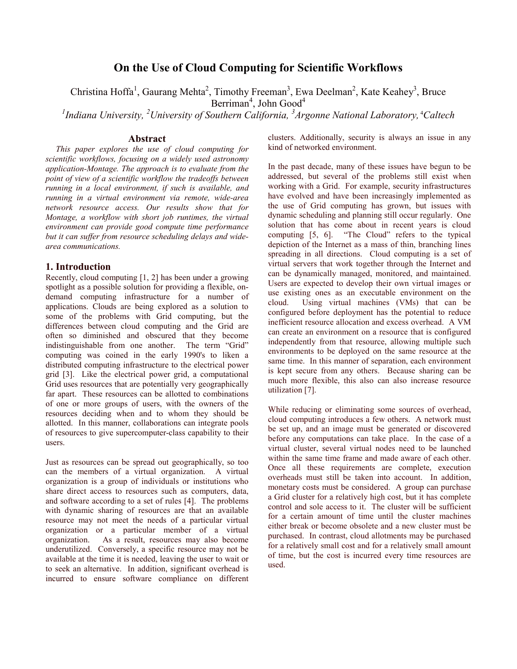# **On the Use of Cloud Computing for Scientific Workflows**

Christina Hoffa<sup>1</sup>, Gaurang Mehta<sup>2</sup>, Timothy Freeman<sup>3</sup>, Ewa Deelman<sup>2</sup>, Kate Keahey<sup>3</sup>, Bruce

Berriman<sup>4</sup>, John Good<sup>4</sup>

<sup>1</sup> Indiana University, <sup>2</sup> University of Southern California, <sup>3</sup> Argonne National Laboratory, <sup>4</sup> Caltech

#### **Abstract**

*This paper explores the use of cloud computing for scientific workflows, focusing on a widely used astronomy application-Montage. The approach is to evaluate from the point of view of a scientific workflow the tradeoffs between running in a local environment, if such is available, and running in a virtual environment via remote, wide-area network resource access. Our results show that for Montage, a workflow with short job runtimes, the virtual environment can provide good compute time performance but it can suffer from resource scheduling delays and widearea communications.* 

### **1. Introduction**

Recently, cloud computing [1, 2] has been under a growing spotlight as a possible solution for providing a flexible, ondemand computing infrastructure for a number of applications. Clouds are being explored as a solution to some of the problems with Grid computing, but the differences between cloud computing and the Grid are often so diminished and obscured that they become indistinguishable from one another. The term "Grid" computing was coined in the early 1990's to liken a distributed computing infrastructure to the electrical power grid [3]. Like the electrical power grid, a computational Grid uses resources that are potentially very geographically far apart. These resources can be allotted to combinations of one or more groups of users, with the owners of the resources deciding when and to whom they should be allotted. In this manner, collaborations can integrate pools of resources to give supercomputer-class capability to their users.

Just as resources can be spread out geographically, so too can the members of a virtual organization. A virtual organization is a group of individuals or institutions who share direct access to resources such as computers, data, and software according to a set of rules [4]. The problems with dynamic sharing of resources are that an available resource may not meet the needs of a particular virtual organization or a particular member of a virtual organization. As a result, resources may also become underutilized. Conversely, a specific resource may not be available at the time it is needed, leaving the user to wait or to seek an alternative. In addition, significant overhead is incurred to ensure software compliance on different clusters. Additionally, security is always an issue in any kind of networked environment.

In the past decade, many of these issues have begun to be addressed, but several of the problems still exist when working with a Grid. For example, security infrastructures have evolved and have been increasingly implemented as the use of Grid computing has grown, but issues with dynamic scheduling and planning still occur regularly. One solution that has come about in recent years is cloud computing [5, 6]. "The Cloud" refers to the typical depiction of the Internet as a mass of thin, branching lines spreading in all directions. Cloud computing is a set of virtual servers that work together through the Internet and can be dynamically managed, monitored, and maintained. Users are expected to develop their own virtual images or use existing ones as an executable environment on the cloud. Using virtual machines (VMs) that can be configured before deployment has the potential to reduce inefficient resource allocation and excess overhead. A VM can create an environment on a resource that is configured independently from that resource, allowing multiple such environments to be deployed on the same resource at the same time. In this manner of separation, each environment is kept secure from any others. Because sharing can be much more flexible, this also can also increase resource utilization [7].

While reducing or eliminating some sources of overhead, cloud computing introduces a few others. A network must be set up, and an image must be generated or discovered before any computations can take place. In the case of a virtual cluster, several virtual nodes need to be launched within the same time frame and made aware of each other. Once all these requirements are complete, execution overheads must still be taken into account. In addition, monetary costs must be considered. A group can purchase a Grid cluster for a relatively high cost, but it has complete control and sole access to it. The cluster will be sufficient for a certain amount of time until the cluster machines either break or become obsolete and a new cluster must be purchased. In contrast, cloud allotments may be purchased for a relatively small cost and for a relatively small amount of time, but the cost is incurred every time resources are used.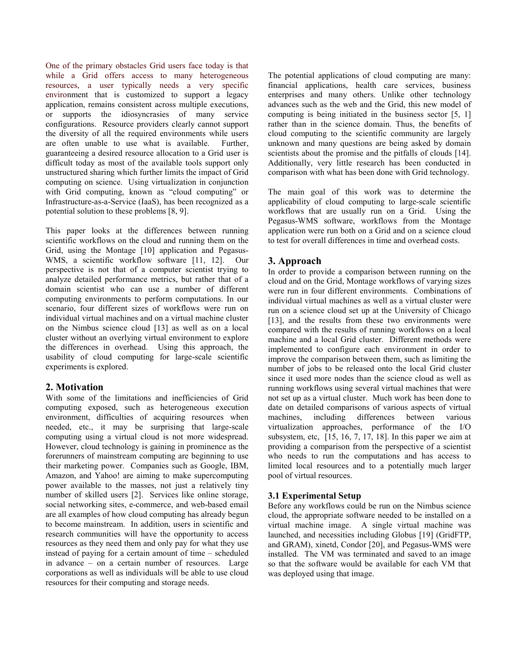One of the primary obstacles Grid users face today is that while a Grid offers access to many heterogeneous resources, a user typically needs a very specific environment that is customized to support a legacy application, remains consistent across multiple executions, or supports the idiosyncrasies of many service configurations. Resource providers clearly cannot support the diversity of all the required environments while users are often unable to use what is available. Further, guaranteeing a desired resource allocation to a Grid user is difficult today as most of the available tools support only unstructured sharing which further limits the impact of Grid computing on science. Using virtualization in conjunction with Grid computing, known as "cloud computing" or Infrastructure-as-a-Service (IaaS), has been recognized as a potential solution to these problems [8, 9].

This paper looks at the differences between running scientific workflows on the cloud and running them on the Grid, using the Montage [10] application and Pegasus-WMS, a scientific workflow software [11, 12]. Our perspective is not that of a computer scientist trying to analyze detailed performance metrics, but rather that of a domain scientist who can use a number of different computing environments to perform computations. In our scenario, four different sizes of workflows were run on individual virtual machines and on a virtual machine cluster on the Nimbus science cloud [13] as well as on a local cluster without an overlying virtual environment to explore the differences in overhead. Using this approach, the usability of cloud computing for large-scale scientific experiments is explored.

## **2. Motivation**

With some of the limitations and inefficiencies of Grid computing exposed, such as heterogeneous execution environment, difficulties of acquiring resources when needed, etc., it may be surprising that large-scale computing using a virtual cloud is not more widespread. However, cloud technology is gaining in prominence as the forerunners of mainstream computing are beginning to use their marketing power. Companies such as Google, IBM, Amazon, and Yahoo! are aiming to make supercomputing power available to the masses, not just a relatively tiny number of skilled users [2]. Services like online storage, social networking sites, e-commerce, and web-based email are all examples of how cloud computing has already begun to become mainstream. In addition, users in scientific and research communities will have the opportunity to access resources as they need them and only pay for what they use instead of paying for a certain amount of time – scheduled in advance – on a certain number of resources. Large corporations as well as individuals will be able to use cloud resources for their computing and storage needs.

The potential applications of cloud computing are many: financial applications, health care services, business enterprises and many others. Unlike other technology advances such as the web and the Grid, this new model of computing is being initiated in the business sector [5, 1] rather than in the science domain. Thus, the benefits of cloud computing to the scientific community are largely unknown and many questions are being asked by domain scientists about the promise and the pitfalls of clouds [14]. Additionally, very little research has been conducted in comparison with what has been done with Grid technology.

The main goal of this work was to determine the applicability of cloud computing to large-scale scientific workflows that are usually run on a Grid. Using the Pegasus-WMS software, workflows from the Montage application were run both on a Grid and on a science cloud to test for overall differences in time and overhead costs.

# **3. Approach**

In order to provide a comparison between running on the cloud and on the Grid, Montage workflows of varying sizes were run in four different environments. Combinations of individual virtual machines as well as a virtual cluster were run on a science cloud set up at the University of Chicago [13], and the results from these two environments were compared with the results of running workflows on a local machine and a local Grid cluster. Different methods were implemented to configure each environment in order to improve the comparison between them, such as limiting the number of jobs to be released onto the local Grid cluster since it used more nodes than the science cloud as well as running workflows using several virtual machines that were not set up as a virtual cluster. Much work has been done to date on detailed comparisons of various aspects of virtual machines, including differences between various virtualization approaches, performance of the I/O subsystem, etc,  $[15, 16, 7, 17, 18]$ . In this paper we aim at providing a comparison from the perspective of a scientist who needs to run the computations and has access to limited local resources and to a potentially much larger pool of virtual resources.

## **3.1 Experimental Setup**

Before any workflows could be run on the Nimbus science cloud, the appropriate software needed to be installed on a virtual machine image. A single virtual machine was launched, and necessities including Globus [19] (GridFTP, and GRAM), xinetd, Condor [20], and Pegasus-WMS were installed. The VM was terminated and saved to an image so that the software would be available for each VM that was deployed using that image.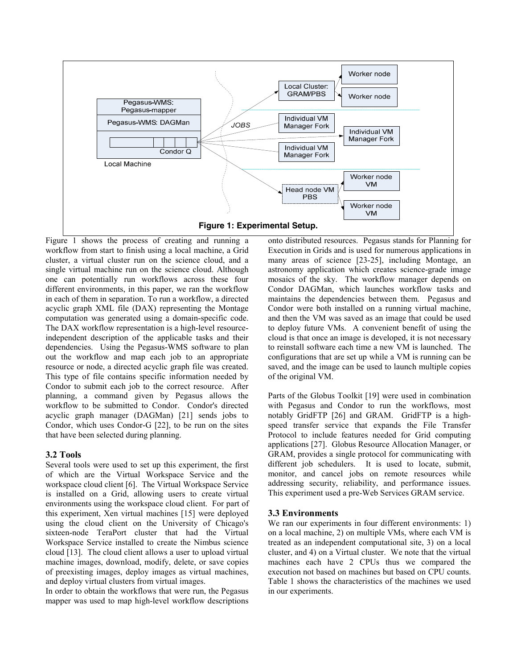

Figure 1 shows the process of creating and running a workflow from start to finish using a local machine, a Grid cluster, a virtual cluster run on the science cloud, and a single virtual machine run on the science cloud. Although one can potentially run workflows across these four different environments, in this paper, we ran the workflow in each of them in separation. To run a workflow, a directed acyclic graph XML file (DAX) representing the Montage computation was generated using a domain-specific code. The DAX workflow representation is a high-level resourceindependent description of the applicable tasks and their dependencies. Using the Pegasus-WMS software to plan out the workflow and map each job to an appropriate resource or node, a directed acyclic graph file was created. This type of file contains specific information needed by Condor to submit each job to the correct resource. After planning, a command given by Pegasus allows the workflow to be submitted to Condor. Condor's directed acyclic graph manager (DAGMan) [21] sends jobs to Condor, which uses Condor-G [22], to be run on the sites that have been selected during planning.

### **3.2 Tools**

Several tools were used to set up this experiment, the first of which are the Virtual Workspace Service and the workspace cloud client [6]. The Virtual Workspace Service is installed on a Grid, allowing users to create virtual environments using the workspace cloud client. For part of this experiment, Xen virtual machines [15] were deployed using the cloud client on the University of Chicago's sixteen-node TeraPort cluster that had the Virtual Workspace Service installed to create the Nimbus science cloud [13]. The cloud client allows a user to upload virtual machine images, download, modify, delete, or save copies of preexisting images, deploy images as virtual machines, and deploy virtual clusters from virtual images.

In order to obtain the workflows that were run, the Pegasus mapper was used to map high-level workflow descriptions onto distributed resources. Pegasus stands for Planning for Execution in Grids and is used for numerous applications in many areas of science [23-25], including Montage, an astronomy application which creates science-grade image mosaics of the sky. The workflow manager depends on Condor DAGMan, which launches workflow tasks and maintains the dependencies between them. Pegasus and Condor were both installed on a running virtual machine, and then the VM was saved as an image that could be used to deploy future VMs. A convenient benefit of using the cloud is that once an image is developed, it is not necessary to reinstall software each time a new VM is launched. The configurations that are set up while a VM is running can be saved, and the image can be used to launch multiple copies of the original VM.

Parts of the Globus Toolkit [19] were used in combination with Pegasus and Condor to run the workflows, most notably GridFTP [26] and GRAM. GridFTP is a highspeed transfer service that expands the File Transfer Protocol to include features needed for Grid computing applications [27]. Globus Resource Allocation Manager, or GRAM, provides a single protocol for communicating with different job schedulers. It is used to locate, submit, monitor, and cancel jobs on remote resources while addressing security, reliability, and performance issues. This experiment used a pre-Web Services GRAM service.

### **3.3 Environments**

We ran our experiments in four different environments: 1) on a local machine, 2) on multiple VMs, where each VM is treated as an independent computational site, 3) on a local cluster, and 4) on a Virtual cluster. We note that the virtual machines each have 2 CPUs thus we compared the execution not based on machines but based on CPU counts. Table 1 shows the characteristics of the machines we used in our experiments.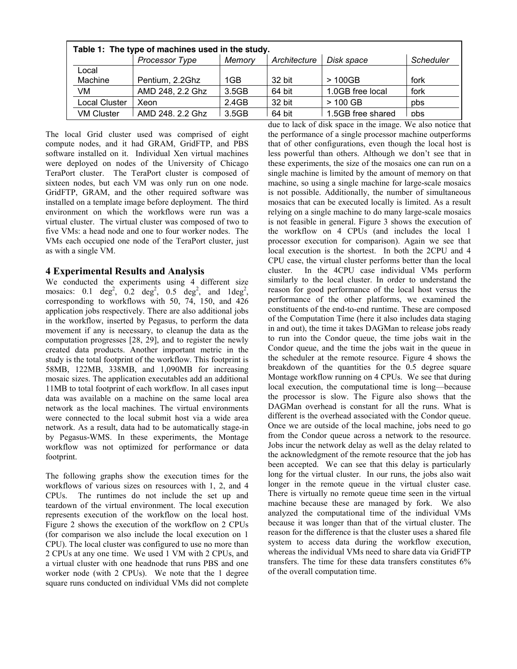| Table 1: The type of machines used in the study. |                  |        |              |                   |                  |
|--------------------------------------------------|------------------|--------|--------------|-------------------|------------------|
|                                                  | Processor Type   | Memory | Architecture | Disk space        | <b>Scheduler</b> |
| Local                                            |                  |        |              |                   |                  |
| Machine                                          | Pentium, 2.2Ghz  | 1GB    | 32 bit       | >100GB            | fork             |
| VM                                               | AMD 248, 2.2 Ghz | 3.5GB  | 64 bit       | 1.0GB free local  | fork             |
| Local Cluster                                    | Xeon             | 2.4GB  | 32 bit       | $>100$ GB         | pbs              |
| <b>VM Cluster</b>                                | AMD 248, 2.2 Ghz | 3.5GB  | 64 bit       | 1.5GB free shared | nhs              |

The local Grid cluster used was comprised of eight compute nodes, and it had GRAM, GridFTP, and PBS software installed on it. Individual Xen virtual machines were deployed on nodes of the University of Chicago TeraPort cluster. The TeraPort cluster is composed of sixteen nodes, but each VM was only run on one node. GridFTP, GRAM, and the other required software was installed on a template image before deployment. The third environment on which the workflows were run was a virtual cluster. The virtual cluster was composed of two to five VMs: a head node and one to four worker nodes. The VMs each occupied one node of the TeraPort cluster, just as with a single VM.

### **4 Experimental Results and Analysis**

We conducted the experiments using 4 different size mosaics:  $0.1 \text{ deg}^2$ ,  $0.2 \text{ deg}^2$ ,  $0.5 \text{ deg}^2$ , and  $1 \text{ deg}^2$ , corresponding to workflows with 50, 74, 150, and 426 application jobs respectively. There are also additional jobs in the workflow, inserted by Pegasus, to perform the data movement if any is necessary, to cleanup the data as the computation progresses [28, 29], and to register the newly created data products. Another important metric in the study is the total footprint of the workflow. This footprint is 58MB, 122MB, 338MB, and 1,090MB for increasing mosaic sizes. The application executables add an additional 11MB to total footprint of each workflow. In all cases input data was available on a machine on the same local area network as the local machines. The virtual environments were connected to the local submit host via a wide area network. As a result, data had to be automatically stage-in by Pegasus-WMS. In these experiments, the Montage workflow was not optimized for performance or data footprint.

The following graphs show the execution times for the workflows of various sizes on resources with 1, 2, and 4 CPUs. The runtimes do not include the set up and teardown of the virtual environment. The local execution represents execution of the workflow on the local host. Figure 2 shows the execution of the workflow on 2 CPUs (for comparison we also include the local execution on 1 CPU). The local cluster was configured to use no more than 2 CPUs at any one time. We used 1 VM with 2 CPUs, and a virtual cluster with one headnode that runs PBS and one worker node (with 2 CPUs). We note that the 1 degree square runs conducted on individual VMs did not complete due to lack of disk space in the image. We also notice that the performance of a single processor machine outperforms that of other configurations, even though the local host is less powerful than others. Although we don't see that in these experiments, the size of the mosaics one can run on a single machine is limited by the amount of memory on that machine, so using a single machine for large-scale mosaics is not possible. Additionally, the number of simultaneous mosaics that can be executed locally is limited. As a result relying on a single machine to do many large-scale mosaics is not feasible in general. Figure 3 shows the execution of the workflow on 4 CPUs (and includes the local 1 processor execution for comparison). Again we see that local execution is the shortest. In both the 2CPU and 4 CPU case, the virtual cluster performs better than the local cluster. In the 4CPU case individual VMs perform similarly to the local cluster. In order to understand the reason for good performance of the local host versus the performance of the other platforms, we examined the constituents of the end-to-end runtime. These are composed of the Computation Time (here it also includes data staging in and out), the time it takes DAGMan to release jobs ready to run into the Condor queue, the time jobs wait in the Condor queue, and the time the jobs wait in the queue in the scheduler at the remote resource. Figure 4 shows the breakdown of the quantities for the 0.5 degree square Montage workflow running on 4 CPUs. We see that during local execution, the computational time is long—because the processor is slow. The Figure also shows that the DAGMan overhead is constant for all the runs. What is different is the overhead associated with the Condor queue. Once we are outside of the local machine, jobs need to go from the Condor queue across a network to the resource. Jobs incur the network delay as well as the delay related to the acknowledgment of the remote resource that the job has been accepted. We can see that this delay is particularly long for the virtual cluster. In our runs, the jobs also wait longer in the remote queue in the virtual cluster case. There is virtually no remote queue time seen in the virtual machine because these are managed by fork. We also analyzed the computational time of the individual VMs because it was longer than that of the virtual cluster. The reason for the difference is that the cluster uses a shared file system to access data during the workflow execution, whereas the individual VMs need to share data via GridFTP transfers. The time for these data transfers constitutes 6% of the overall computation time.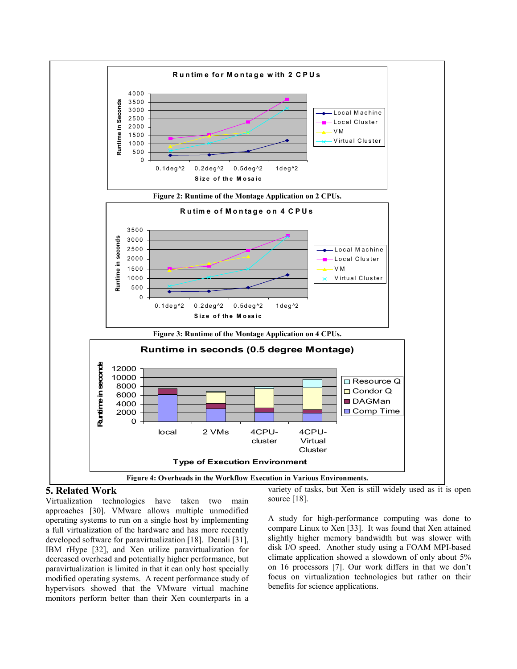

## **5. Related Work**

Virtualization technologies have taken two main approaches [30]. VMware allows multiple unmodified operating systems to run on a single host by implementing a full virtualization of the hardware and has more recently developed software for paravirtualization [18]. Denali [31], IBM rHype [32], and Xen utilize paravirtualization for decreased overhead and potentially higher performance, but paravirtualization is limited in that it can only host specially modified operating systems. A recent performance study of hypervisors showed that the VMware virtual machine monitors perform better than their Xen counterparts in a variety of tasks, but Xen is still widely used as it is open source [18].

A study for high-performance computing was done to compare Linux to Xen [33]. It was found that Xen attained slightly higher memory bandwidth but was slower with disk I/O speed. Another study using a FOAM MPI-based climate application showed a slowdown of only about 5% on 16 processors [7]. Our work differs in that we don't focus on virtualization technologies but rather on their benefits for science applications.